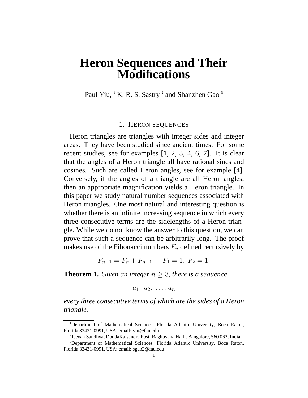## **Heron Sequences and Their Modifications**

Paul Yiu,  $^{1}$  K. R. S. Sastry  $^{2}$  and Shanzhen Gao  $^{3}$ 

## 1. HERON SEQUENCES

Heron triangles are triangles with integer sides and integer areas. They have been studied since ancient times. For some recent studies, see for examples [1, 2, 3, 4, 6, 7]. It is clear that the angles of a Heron triangle all have rational sines and cosines. Such are called Heron angles, see for example [4]. Conversely, if the angles of a triangle are all Heron angles, then an appropriate magnification yields a Heron triangle. In this paper we study natural number sequences associated with Heron triangles. One most natural and interesting question is whether there is an infinite increasing sequence in which every three consecutive terms are the sidelengths of a Heron triangle. While we do not know the answer to this question, we can prove that such a sequence can be arbitrarily long. The proof makes use of the Fibonacci numbers  $F_n$  defined recursively by

 $F_{n+1} = F_n + F_{n-1}, \quad F_1 = 1, F_2 = 1.$ 

**Theorem 1.** *Given an integer*  $n \geq 3$ *, there is a sequence* 

 $a_1, a_2, \ldots, a_n$ 

*every three consecutive terms of which are the sides of a Heron triangle.*

<sup>1</sup>Department of Mathematical Sciences, Florida Atlantic University, Boca Raton, Florida 33431-0991, USA; email: yiu@fau.edu

<sup>&</sup>lt;sup>2</sup>Jeevan Sandhya, DoddaKalsandra Post, Raghuvana Halli, Bangalore, 560 062, India.

<sup>&</sup>lt;sup>3</sup>Department of Mathematical Sciences, Florida Atlantic University, Boca Raton, Florida 33431-0991, USA; email: sgao2@fau.edu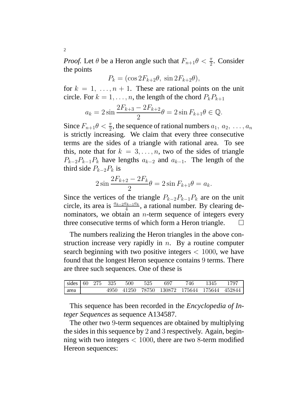*Proof.* Let  $\theta$  be a Heron angle such that  $F_{n+1}\theta < \frac{\pi}{2}$ . Consider the points

$$
P_k = (\cos 2F_{k+2}\theta, \sin 2F_{k+2}\theta),
$$

for  $k = 1, \ldots, n + 1$ . These are rational points on the unit circle. For  $k = 1, \ldots, n$ , the length of the chord  $P_k P_{k+1}$ 

$$
a_k = 2\sin\frac{2F_{k+3} - 2F_{k+2}}{2}\theta = 2\sin F_{k+1}\theta \in \mathbb{Q}.
$$

Since  $F_{n+1}\theta < \frac{\pi}{2}$ , the sequence of rational numbers  $a_1, a_2, \ldots, a_n$ is strictly increasing. We claim that every three consecutive terms are the sides of a triangle with rational area. To see this, note that for  $k = 3, \ldots, n$ , two of the sides of triangle  $P_{k-2}P_{k-1}P_k$  have lengths  $a_{k-2}$  and  $a_{k-1}$ . The length of the third side  $P_{k-2}P_k$  is

$$
2\sin\frac{2F_{k+2} - 2F_k}{2}\theta = 2\sin F_{k+1}\theta = a_k.
$$

Since the vertices of the triangle  $P_{k-2}P_{k-1}P_k$  are on the unit circle, its area is  $\frac{a_{k-2}a_{k-1}a_k}{4}$ , a rational number. By clearing denominators, we obtain an  $n$ -term sequence of integers every three consecutive terms of which form a Heron triangle.  $\Box$ 

The numbers realizing the Heron triangles in the above construction increase very rapidly in  $n$ . By a routine computer search beginning with two positive integers  $< 1000$ , we have found that the longest Heron sequence contains 9 terms. There are three such sequences. One of these is

|      |  | $\sqrt{\text{ sides}} \begin{pmatrix} 60 & 275 & 325 & 500 & 525 \end{pmatrix}$ | - 697                                        | 746 | 1345 | 1797 |
|------|--|---------------------------------------------------------------------------------|----------------------------------------------|-----|------|------|
| area |  |                                                                                 | 4950 41250 78750 130872 175644 175644 452844 |     |      |      |

This sequence has been recorded in the *Encyclopedia of Integer Sequences* as sequence A134587.

The other two 9-term sequences are obtained by multiplying the sides in this sequence by 2 and 3 respectively. Again, beginning with two integers  $< 1000$ , there are two 8-term modified Hereon sequences:

2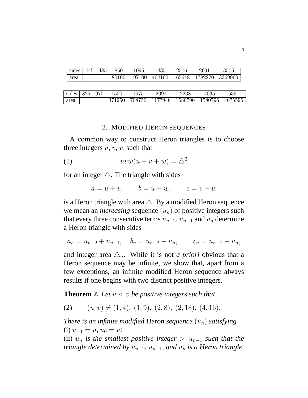| sides 445 485 |  | 850   | 1095 | 1435 | 2516 | 2691                                    | 3505 |
|---------------|--|-------|------|------|------|-----------------------------------------|------|
| area          |  | 80100 |      |      |      | $-197100$ 464100 165648 1782270 3369960 |      |
|               |  |       |      |      |      |                                         |      |

| sides $825$ 975 |  | 1500 | 1575 | 2091 | 2238                                          | 4035 | 5391 |
|-----------------|--|------|------|------|-----------------------------------------------|------|------|
| area            |  |      |      |      | 371250 708750 1177848 1580796 1580796 4075596 |      |      |

## 2. MODIFIED HERON SEQUENCES

A common way to construct Heron triangles is to choose three integers  $u, v, w$  such that

$$
(1) \t uvw(u+v+w) = \Delta^2
$$

for an integer  $\triangle$ . The triangle with sides

$$
a = u + v, \qquad b = u + w, \qquad c = v + w
$$

is a Heron triangle with area  $\triangle$ . By a modified Heron sequence we mean an *increasing* sequence  $(u_n)$  of positive integers such that every three consecutive terms  $u_{n-2}$ ,  $u_{n-1}$  and  $u_n$  determine a Heron triangle with sides

$$
a_n = u_{n-2} + u_{n-1}, \quad b_n = u_{n-2} + u_n, \qquad c_n = u_{n-1} + u_n,
$$

and integer area  $\triangle_n$ . While it is not *a priori* obvious that a Heron sequence may be infinite, we show that, apart from a few exceptions, an infinite modified Heron sequence always results if one begins with two distinct positive integers.

**Theorem 2.** *Let* u < v *be positive integers such that*

(2)  $(u, v) \neq (1, 4), (1, 9), (2, 8), (2, 18), (4, 16).$ 

*There is an infinite modified Heron sequence*  $(u_n)$  *satisfying* (i)  $u_{-1} = u, u_0 = v;$ 

(ii)  $u_n$  *is the smallest positive integer* >  $u_{n-1}$  *such that the triangle determined by*  $u_{n-2}$ ,  $u_{n-1}$ , and  $u_n$  *is a Heron triangle.*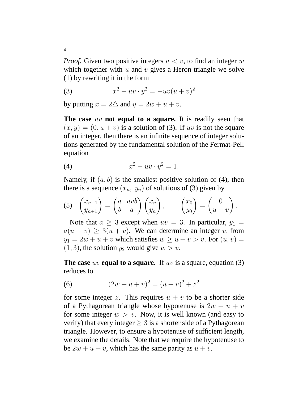*Proof.* Given two positive integers  $u < v$ , to find an integer w which together with  $u$  and  $v$  gives a Heron triangle we solve (1) by rewriting it in the form

(3) 
$$
x^2 - uv \cdot y^2 = -uv(u+v)^2
$$

by putting  $x = 2\Delta$  and  $y = 2w + u + v$ .

**The case** uv **not equal to a square.** It is readily seen that  $(x, y) = (0, u + v)$  is a solution of (3). If uv is not the square of an integer, then there is an infinite sequence of integer solutions generated by the fundamental solution of the Fermat-Pell equation

$$
(4) \t\t x^2 - uv \cdot y^2 = 1.
$$

Namely, if  $(a, b)$  is the smallest positive solution of (4), then there is a sequence  $(x_n, y_n)$  of solutions of (3) given by

(5) 
$$
\begin{pmatrix} x_{n+1} \\ y_{n+1} \end{pmatrix} = \begin{pmatrix} a & uvb \\ b & a \end{pmatrix} \begin{pmatrix} x_n \\ y_n \end{pmatrix}, \qquad \begin{pmatrix} x_0 \\ y_0 \end{pmatrix} = \begin{pmatrix} 0 \\ u+v \end{pmatrix}.
$$

Note that  $a \geq 3$  except when  $uv = 3$ . In particular,  $y_1 =$  $a(u + v) \ge 3(u + v)$ . We can determine an integer w from  $y_1 = 2w + u + v$  which satisfies  $w \ge u + v > v$ . For  $(u, v) =$  $(1, 3)$ , the solution  $y_2$  would give  $w > v$ .

**The case** uv **equal to a square.** If uv is a square, equation (3) reduces to

(6) 
$$
(2w+u+v)^2 = (u+v)^2 + z^2
$$

for some integer z. This requires  $u + v$  to be a shorter side of a Pythagorean triangle whose hypotenuse is  $2w + u + v$ for some integer  $w > v$ . Now, it is well known (and easy to verify) that every integer  $\geq 3$  is a shorter side of a Pythagorean triangle. However, to ensure a hypotenuse of sufficient length, we examine the details. Note that we require the hypotenuse to be  $2w + u + v$ , which has the same parity as  $u + v$ .

4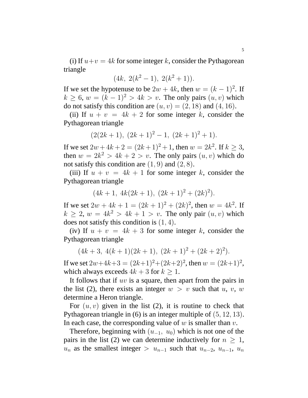(i) If  $u+v = 4k$  for some integer k, consider the Pythagorean triangle

$$
(4k, 2(k^2-1), 2(k^2+1)).
$$

If we set the hypotenuse to be  $2w + 4k$ , then  $w = (k - 1)^2$ . If  $k \geq 6$ ,  $w = (k-1)^2 > 4k > v$ . The only pairs  $(u, v)$  which do not satisfy this condition are  $(u, v) = (2, 18)$  and  $(4, 16)$ .

(ii) If  $u + v = 4k + 2$  for some integer k, consider the Pythagorean triangle

$$
(2(2k+1), (2k+1)^2 - 1, (2k+1)^2 + 1).
$$

If we set  $2w + 4k + 2 = (2k+1)^2 + 1$ , then  $w = 2k^2$ . If  $k \ge 3$ , then  $w = 2k^2 > 4k + 2 > v$ . The only pairs  $(u, v)$  which do not satisfy this condition are  $(1, 9)$  and  $(2, 8)$ .

(iii) If  $u + v = 4k + 1$  for some integer k, consider the Pythagorean triangle

$$
(4k+1, 4k(2k+1), (2k+1)^2 + (2k)^2).
$$

If we set  $2w + 4k + 1 = (2k + 1)^2 + (2k)^2$ , then  $w = 4k^2$ . If  $k \geq 2$ ,  $w = 4k^2 > 4k + 1 > v$ . The only pair  $(u, v)$  which does not satisfy this condition is  $(1, 4)$ .

(iv) If  $u + v = 4k + 3$  for some integer k, consider the Pythagorean triangle

$$
(4k+3, 4(k+1)(2k+1), (2k+1)^2 + (2k+2)^2).
$$

If we set  $2w+4k+3 = (2k+1)^2+(2k+2)^2$ , then  $w = (2k+1)^2$ , which always exceeds  $4k + 3$  for  $k \ge 1$ .

It follows that if  $uv$  is a square, then apart from the pairs in the list (2), there exists an integer  $w > v$  such that  $u, v, w$ determine a Heron triangle.

For  $(u, v)$  given in the list (2), it is routine to check that Pythagorean triangle in (6) is an integer multiple of (5, 12, 13). In each case, the corresponding value of  $w$  is smaller than  $v$ .

Therefore, beginning with  $(u_{-1}, u_0)$  which is not one of the pairs in the list (2) we can determine inductively for  $n \geq 1$ ,  $u_n$  as the smallest integer >  $u_{n-1}$  such that  $u_{n-2}$ ,  $u_{n-1}$ ,  $u_n$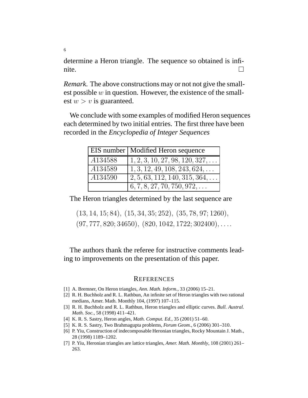determine a Heron triangle. The sequence so obtained is infinite.  $\Box$ 

*Remark.* The above constructions may or not not give the smallest possible  $w$  in question. However, the existence of the smallest  $w > v$  is guaranteed.

We conclude with some examples of modified Heron sequences each determined by two initial entries. The first three have been recorded in the *Encyclopedia of Integer Sequences*

|         | EIS number   Modified Heron sequence               |
|---------|----------------------------------------------------|
| A134588 | $1, 2, 3, 10, 27, 98, 120, 327, \ldots$            |
| A134589 | $1, 3, 12, 49, 108, 243, 624, \ldots$              |
| A134590 | $\vert 2, 5, 63, 112, 140, 315, 364, \ldots \vert$ |
|         | $\vert 6, 7, 8, 27, 70, 750, 972, \ldots \vert$    |

The Heron triangles determined by the last sequence are

(13, 14, 15; 84), (15, 34, 35; 252), (35, 78, 97; 1260),  $(97, 777, 820; 34650), (820, 1042, 1722; 302400), \ldots$ 

The authors thank the referee for instructive comments leading to improvements on the presentation of this paper.

## **REFERENCES**

- [1] A. Bremner, On Heron triangles, *Ann. Math. Inform.*, 33 (2006) 15–21.
- [2] R. H. Buchholz and R. L. Rathbun, An infinite set of Heron triangles with two rational medians, Amer. Math. Monthly 104, (1997) 107–115.
- [3] R. H. Buchholz and R. L. Rathbun, Heron triangles and elliptic curves. *Bull. Austral. Math. Soc.*, 58 (1998) 411–421.
- [4] K. R. S. Sastry, Heron angles, *Math. Comput. Ed.*, 35 (2001) 51–60.
- [5] K. R. S. Sastry, Two Brahmagupta problems, *Forum Geom.*, 6 (2006) 301–310.
- [6] P. Yiu, Construction of indecomposable Heronian triangles, Rocky Mountain J. Math., 28 (1998) 1189–1202.
- [7] P. Yiu, Heronian triangles are lattice triangles, *Amer. Math. Monthly*, 108 (2001) 261– 263.

6